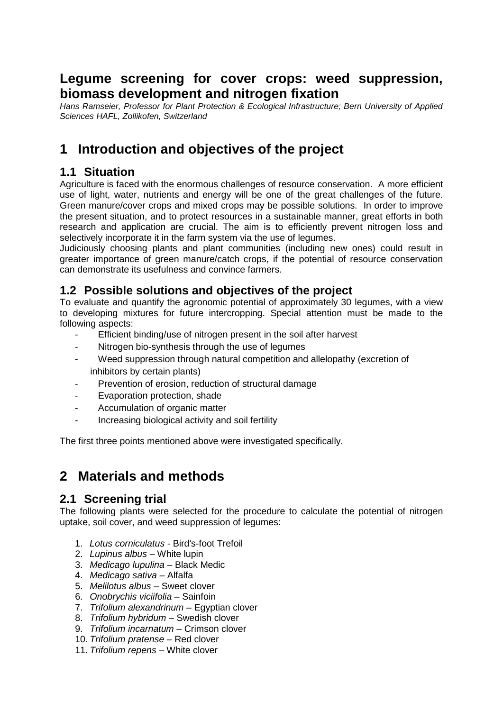# **Legume screening for cover crops: weed suppression, biomass development and nitrogen fixation**

*Hans Ramseier, Professor for Plant Protection & Ecological Infrastructure; Bern University of Applied Sciences HAFL, Zollikofen, Switzerland*

# **1 Introduction and objectives of the project**

### **1.1 Situation**

Agriculture is faced with the enormous challenges of resource conservation. A more efficient use of light, water, nutrients and energy will be one of the great challenges of the future. Green manure/cover crops and mixed crops may be possible solutions. In order to improve the present situation, and to protect resources in a sustainable manner, great efforts in both research and application are crucial. The aim is to efficiently prevent nitrogen loss and selectively incorporate it in the farm system via the use of legumes.

Judiciously choosing plants and plant communities (including new ones) could result in greater importance of green manure/catch crops, if the potential of resource conservation can demonstrate its usefulness and convince farmers.

### **1.2 Possible solutions and objectives of the project**

To evaluate and quantify the agronomic potential of approximately 30 legumes, with a view to developing mixtures for future intercropping. Special attention must be made to the following aspects:

- Efficient binding/use of nitrogen present in the soil after harvest
- Nitrogen bio-synthesis through the use of legumes
- Weed suppression through natural competition and allelopathy (excretion of inhibitors by certain plants)
- Prevention of erosion, reduction of structural damage
- Evaporation protection, shade
- Accumulation of organic matter
- Increasing biological activity and soil fertility

The first three points mentioned above were investigated specifically.

# **2 Materials and methods**

### **2.1 Screening trial**

The following plants were selected for the procedure to calculate the potential of nitrogen uptake, soil cover, and weed suppression of legumes:

- 1. *Lotus corniculatus -* Bird's-foot Trefoil
- 2. *Lupinus albus –* White lupin
- 3. *Medicago lupulina –* Black Medic
- 4. *Medicago sativa –* Alfalfa
- 5. *Melilotus albus –* Sweet clover
- 6. *Onobrychis viciifolia –* Sainfoin
- 7. *Trifolium alexandrinum –* Egyptian clover
- 8. *Trifolium hybridum –* Swedish clover
- 9. *Trifolium incarnatum –* Crimson clover
- 10. *Trifolium pratense –* Red clover
- 11. *Trifolium repens –* White clover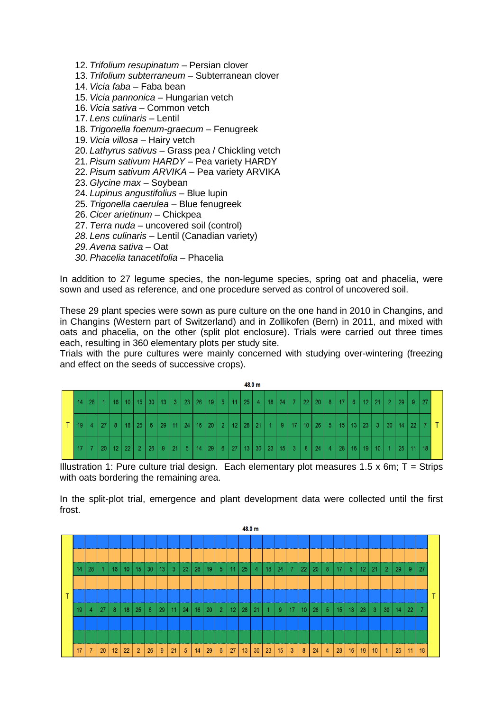- 12. *Trifolium resupinatum –* Persian clover
- 13. *Trifolium subterraneum –* Subterranean clover
- 14. *Vicia faba –* Faba bean
- 15. *Vicia pannonica –* Hungarian vetch
- 16. *Vicia sativa –* Common vetch
- 17. *Lens culinaris –* Lentil
- 18. *Trigonella foenum-graecum –* Fenugreek
- 19. *Vicia villosa –* Hairy vetch
- 20. *Lathyrus sativus –* Grass pea / Chickling vetch
- 21. *Pisum sativum HARDY –* Pea variety HARDY
- 22. *Pisum sativum ARVIKA –* Pea variety ARVIKA
- 23. *Glycine max –* Soybean
- 24. *Lupinus angustifolius –* Blue lupin
- 25. *Trigonella caerulea –* Blue fenugreek
- 26. *Cicer arietinum –* Chickpea
- 27. *Terra nuda –* uncovered soil (control)
- *28. Lens culinaris –* Lentil (Canadian variety)
- *29. Avena sativa –* Oat
- *30. Phacelia tanacetifolia –* Phacelia

In addition to 27 legume species, the non-legume species, spring oat and phacelia, were sown and used as reference, and one procedure served as control of uncovered soil.

These 29 plant species were sown as pure culture on the one hand in 2010 in Changins, and in Changins (Western part of Switzerland) and in Zollikofen (Bern) in 2011, and mixed with oats and phacelia, on the other (split plot enclosure). Trials were carried out three times each, resulting in 360 elementary plots per study site.

Trials with the pure cultures were mainly concerned with studying over-wintering (freezing and effect on the seeds of successive crops).



Illustration 1: Pure culture trial design. Each elementary plot measures 1.5 x 6m;  $T =$  Strips with oats bordering the remaining area.

In the split-plot trial, emergence and plant development data were collected until the first frost.

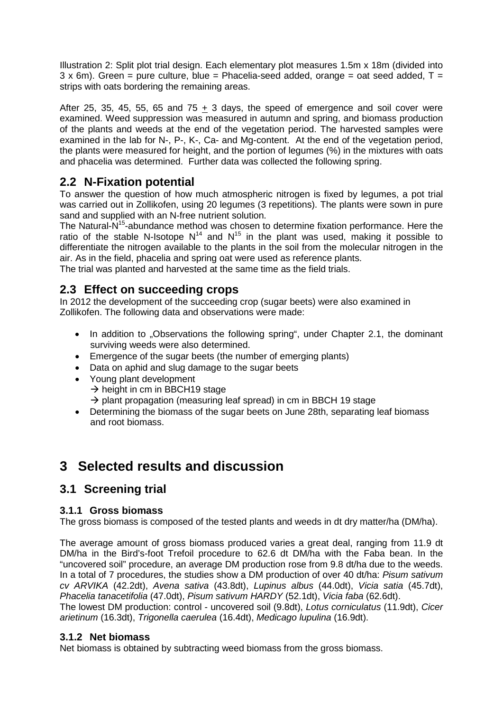Illustration 2: Split plot trial design. Each elementary plot measures 1.5m x 18m (divided into  $3 \times 6$ m). Green = pure culture, blue = Phacelia-seed added, orange = oat seed added,  $T =$ strips with oats bordering the remaining areas.

After 25, 35, 45, 55, 65 and  $75 + 3$  days, the speed of emergence and soil cover were examined. Weed suppression was measured in autumn and spring, and biomass production of the plants and weeds at the end of the vegetation period. The harvested samples were examined in the lab for N-, P-, K-, Ca- and Mg-content. At the end of the vegetation period, the plants were measured for height, and the portion of legumes (%) in the mixtures with oats and phacelia was determined. Further data was collected the following spring.

## **2.2 N-Fixation potential**

To answer the question of how much atmospheric nitrogen is fixed by legumes, a pot trial was carried out in Zollikofen, using 20 legumes (3 repetitions). The plants were sown in pure sand and supplied with an N-free nutrient solution.

The Natural-N<sup>15</sup>-abundance method was chosen to determine fixation performance. Here the ratio of the stable N-Isotope  $N^{14}$  and  $N^{15}$  in the plant was used, making it possible to differentiate the nitrogen available to the plants in the soil from the molecular nitrogen in the air. As in the field, phacelia and spring oat were used as reference plants.

The trial was planted and harvested at the same time as the field trials.

### **2.3 Effect on succeeding crops**

In 2012 the development of the succeeding crop (sugar beets) were also examined in Zollikofen. The following data and observations were made:

- In addition to "Observations the following spring", under Chapter 2.1, the dominant surviving weeds were also determined.
- Emergence of the sugar beets (the number of emerging plants)
- Data on aphid and slug damage to the sugar beets
- Young plant development  $\rightarrow$  height in cm in BBCH19 stage
	- $\rightarrow$  plant propagation (measuring leaf spread) in cm in BBCH 19 stage
- Determining the biomass of the sugar beets on June 28th, separating leaf biomass and root biomass.

# **3 Selected results and discussion**

## **3.1 Screening trial**

### **3.1.1 Gross biomass**

The gross biomass is composed of the tested plants and weeds in dt dry matter/ha (DM/ha).

The average amount of gross biomass produced varies a great deal, ranging from 11.9 dt DM/ha in the Bird's-foot Trefoil procedure to 62.6 dt DM/ha with the Faba bean. In the "uncovered soil" procedure, an average DM production rose from 9.8 dt/ha due to the weeds. In a total of 7 procedures, the studies show a DM production of over 40 dt/ha: *Pisum sativum cv ARVIKA* (42.2dt), *Avena sativa* (43.8dt), *Lupinus albus* (44.0dt), *Vicia satia* (45.7dt), *Phacelia tanacetifolia* (47.0dt), *Pisum sativum HARDY* (52.1dt), *Vicia faba* (62.6dt). The lowest DM production: control - uncovered soil (9.8dt), *Lotus corniculatus* (11.9dt), *Cicer arietinum* (16.3dt), *Trigonella caerulea* (16.4dt), *Medicago lupulina* (16.9dt).

#### **3.1.2 Net biomass**

Net biomass is obtained by subtracting weed biomass from the gross biomass.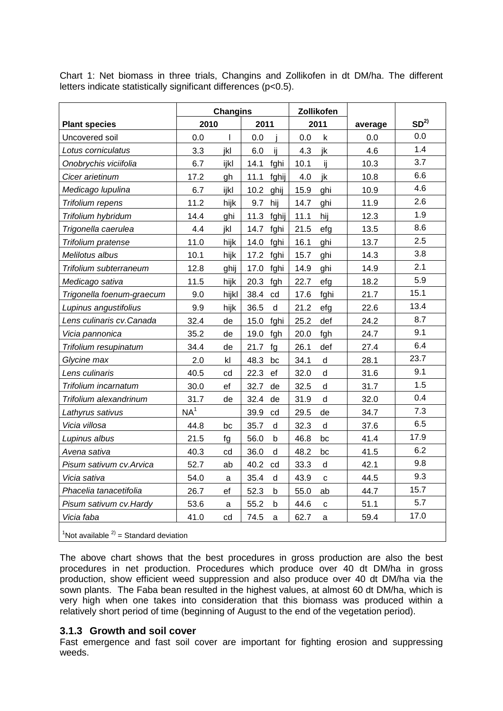**Plant species Changins Zollikofen average SD2) 2010 2011 2011** Uncovered soil 0.0 l 0.0 j 0.0 k 0.0 0.0 *Lotus corniculatus* | 3.3 jkl 6.0 ij | 4.3 jk | 4.6 | 1.4 *Onobrychis viciifolia* 6.7 ijkl 14.1 fghi 10.1 ij 10.3 3.7 *Cicer arietinum* | 17.2 gh | 11.1 fghij | 4.0 jk | 10.8 | 6.6 *Medicago lupulina* | 6.7 ijkl | 10.2 ghij | 15.9 ghi | 10.9 | 4.6 *Trifolium repens* 11.2 hijk 9.7 hij 14.7 ghi 11.9 2.6 *Trifolium hybridum* | 14.4 ghi | 11.3 fghij | 11.1 hij | 12.3 | 1.9 *Trigonella caerulea* | 4.4 jkl | 14.7 fghi | 21.5 efg | 13.5 | 8.6 *Trifolium pratense* 11.0 hijk 14.0 fghi 16.1 ghi 13.7 2.5 *Melilotus albus* 10.1 hijk 17.2 fghi 15.7 ghi 14.3 3.8 *Trifolium subterraneum* 12.8 ghij 17.0 fghi 14.9 ghi 14.9 2.1 *Medicago sativa* | 11.5 hijk 20.3 fgh 22.7 efg | 18.2 | 5.9 *Trigonella foenum-graecum* | 9.0 hijkl 38.4 cd | 17.6 fghi | 21.7 | 15.1 *Lupinus angustifolius* | 9.9 hijk 36.5 d 21.2 efg | 22.6 | 13.4 *Lens culinaris cv.Canada* | 32.4 de | 15.0 fghi | 25.2 def | 24.2 | 8.7 *Vicia pannonica*  $\begin{array}{|l} \hline \end{array}$  35.2 de | 19.0 fgh | 20.0 fgh | 24.7 | 9.1 *Trifolium resupinatum* | 34.4 de | 21.7 fg | 26.1 def | 27.4 | 6.4 *Glycine max* 2.0 kl 48.3 bc 34.1 d 28.1 23.7 *Lens culinaris* 20.5 cd 22.3 ef 32.0 d 31.6 9.1 *Trifolium incarnatum* 30.0 ef 32.7 de 32.5 d 31.7 1.5 *Trifolium alexandrinum* 31.7 de 32.4 de 31.9 d 32.0 0.4 *Lathyrus sativus* NA1 39.9 cd 29.5 de 34.7 7.3 *Vicia villosa* 44.8 bc 35.7 d 32.3 d 37.6 6.5 *Lupinus albus* 21.5 fg 56.0 b 46.8 bc 41.4 17.9 *Avena sativa* **1** 40.3 cd 36.0 d 48.2 bc 41.5 6.2 *Pisum sativum cv.Arvica* | 52.7 ab | 40.2 cd | 33.3 d | 42.1 | 9.8 *Vicia sativa* **1 54.0 a** 35.4 **d** 43.9 **c 44.5 9.3** *Phacelia tanacetifolia* | 26.7 ef | 52.3 b | 55.0 ab | 44.7 | 15.7 *Pisum sativum cv.Hardy* | 53.6 a | 55.2 b | 44.6 c | 51.1 | 5.7 *Vicia faba* 17.0 cd | 74.5 a | 62.7 a | 59.4 | 17.0

Chart 1: Net biomass in three trials, Changins and Zollikofen in dt DM/ha. The different letters indicate statistically significant differences (p<0.5).

<sup>1</sup>Not available  $2$ <sup>2</sup> = Standard deviation

The above chart shows that the best procedures in gross production are also the best procedures in net production. Procedures which produce over 40 dt DM/ha in gross production, show efficient weed suppression and also produce over 40 dt DM/ha via the sown plants. The Faba bean resulted in the highest values, at almost 60 dt DM/ha, which is very high when one takes into consideration that this biomass was produced within a relatively short period of time (beginning of August to the end of the vegetation period).

#### **3.1.3 Growth and soil cover**

Fast emergence and fast soil cover are important for fighting erosion and suppressing weeds.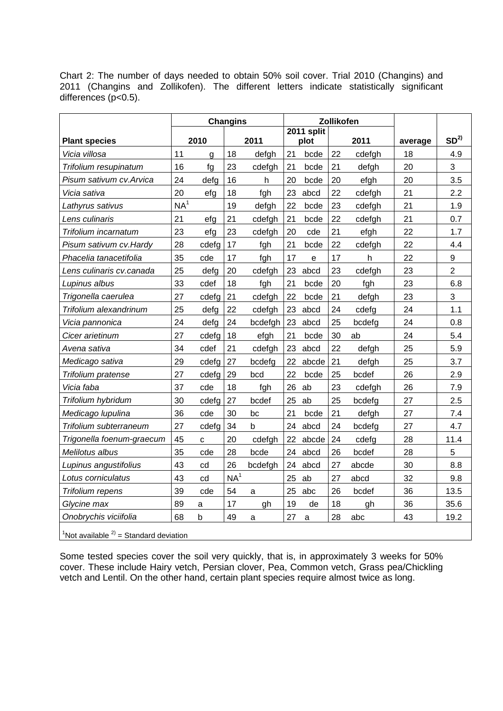Chart 2: The number of days needed to obtain 50% soil cover. Trial 2010 (Changins) and 2011 (Changins and Zollikofen). The different letters indicate statistically significant differences (p<0.5).

|                                                                  | <b>Changins</b> |       | Zollikofen      |            |    |       |    |        |                 |                |
|------------------------------------------------------------------|-----------------|-------|-----------------|------------|----|-------|----|--------|-----------------|----------------|
|                                                                  | 2010            |       |                 | 2011 split |    |       |    |        | SD <sup>2</sup> |                |
| <b>Plant species</b>                                             |                 |       |                 | 2011       |    | plot  |    | 2011   | average         |                |
| Vicia villosa                                                    | 11              | g     | 18              | defgh      | 21 | bcde  | 22 | cdefgh | 18              | 4.9            |
| Trifolium resupinatum                                            | 16              | fg    | 23              | cdefgh     | 21 | bcde  | 21 | defgh  | 20              | $\mathbf{3}$   |
| Pisum sativum cv. Arvica                                         | 24              | defg  | 16              | h          | 20 | bcde  | 20 | efgh   | 20              | 3.5            |
| Vicia sativa                                                     | 20              | efg   | 18              | fgh        | 23 | abcd  | 22 | cdefgh | 21              | 2.2            |
| Lathyrus sativus                                                 | NA <sup>1</sup> |       | 19              | defgh      | 22 | bcde  | 23 | cdefgh | 21              | 1.9            |
| Lens culinaris                                                   | 21              | efg   | 21              | cdefgh     | 21 | bcde  | 22 | cdefgh | 21              | 0.7            |
| Trifolium incarnatum                                             | 23              | efg   | 23              | cdefgh     | 20 | cde   | 21 | efgh   | 22              | 1.7            |
| Pisum sativum cv. Hardy                                          | 28              | cdefg | 17              | fgh        | 21 | bcde  | 22 | cdefgh | 22              | 4.4            |
| Phacelia tanacetifolia                                           | 35              | cde   | 17              | fgh        | 17 | e     | 17 | h      | 22              | 9              |
| Lens culinaris cv.canada                                         | 25              | defg  | 20              | cdefgh     | 23 | abcd  | 23 | cdefgh | 23              | $\overline{2}$ |
| Lupinus albus                                                    | 33              | cdef  | 18              | fgh        | 21 | bcde  | 20 | fgh    | 23              | 6.8            |
| Trigonella caerulea                                              | 27              | cdefg | 21              | cdefgh     | 22 | bcde  | 21 | defgh  | 23              | 3              |
| Trifolium alexandrinum                                           | 25              | defg  | 22              | cdefgh     | 23 | abcd  | 24 | cdefg  | 24              | 1.1            |
| Vicia pannonica                                                  | 24              | defg  | 24              | bcdefgh    | 23 | abcd  | 25 | bcdefg | 24              | 0.8            |
| Cicer arietinum                                                  | 27              | cdefg | 18              | efgh       | 21 | bcde  | 30 | ab     | 24              | 5.4            |
| Avena sativa                                                     | 34              | cdef  | 21              | cdefgh     | 23 | abcd  | 22 | defgh  | 25              | 5.9            |
| Medicago sativa                                                  | 29              | cdefg | 27              | bcdefg     | 22 | abcde | 21 | defgh  | 25              | 3.7            |
| Trifolium pratense                                               | 27              | cdefg | 29              | bcd        | 22 | bcde  | 25 | bcdef  | 26              | 2.9            |
| Vicia faba                                                       | 37              | cde   | 18              | fgh        | 26 | ab    | 23 | cdefgh | 26              | 7.9            |
| Trifolium hybridum                                               | 30              | cdefg | 27              | bcdef      | 25 | ab    | 25 | bcdefg | 27              | 2.5            |
| Medicago lupulina                                                | 36              | cde   | 30              | bc         | 21 | bcde  | 21 | defgh  | 27              | 7.4            |
| Trifolium subterraneum                                           | 27              | cdefg | 34              | b          | 24 | abcd  | 24 | bcdefg | 27              | 4.7            |
| Trigonella foenum-graecum                                        | 45              | c     | 20              | cdefgh     | 22 | abcde | 24 | cdefg  | 28              | 11.4           |
| Melilotus albus                                                  | 35              | cde   | 28              | bcde       | 24 | abcd  | 26 | bcdef  | 28              | 5              |
| Lupinus angustifolius                                            | 43              | cd    | 26              | bcdefgh    | 24 | abcd  | 27 | abcde  | 30              | 8.8            |
| Lotus corniculatus                                               | 43              | cd    | NA <sup>1</sup> |            | 25 | ab    | 27 | abcd   | 32              | 9.8            |
| Trifolium repens                                                 | 39              | cde   | 54              | a          | 25 | abc   | 26 | bcdef  | 36              | 13.5           |
| Glycine max                                                      | 89              | a     | 17              | gh         | 19 | de    | 18 | gh     | 36              | 35.6           |
| Onobrychis viciifolia                                            | 68              | b     | 49              | a          | 27 | a     | 28 | abc    | 43              | 19.2           |
| <sup>1</sup> Not available $2$ <sup>2</sup> = Standard deviation |                 |       |                 |            |    |       |    |        |                 |                |

Some tested species cover the soil very quickly, that is, in approximately 3 weeks for 50%

cover. These include Hairy vetch, Persian clover, Pea, Common vetch, Grass pea/Chickling vetch and Lentil. On the other hand, certain plant species require almost twice as long.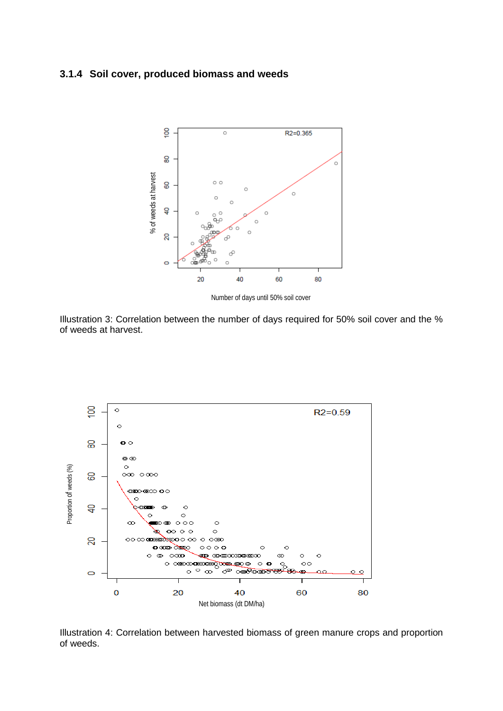#### **3.1.4 Soil cover, produced biomass and weeds**



Number of days until 50% soil cover

Illustration 3: Correlation between the number of days required for 50% soil cover and the % of weeds at harvest.



Illustration 4: Correlation between harvested biomass of green manure crops and proportion of weeds.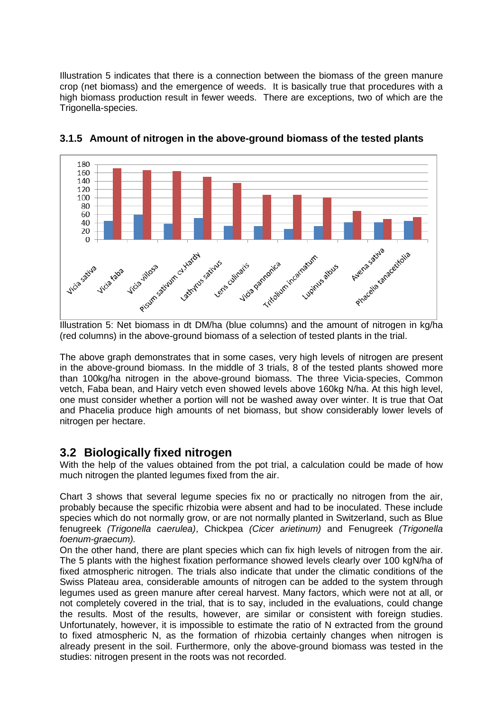Illustration 5 indicates that there is a connection between the biomass of the green manure crop (net biomass) and the emergence of weeds. It is basically true that procedures with a high biomass production result in fewer weeds. There are exceptions, two of which are the Trigonella-species.



**3.1.5 Amount of nitrogen in the above-ground biomass of the tested plants** 

(red columns) in the above-ground biomass of a selection of tested plants in the trial.

The above graph demonstrates that in some cases, very high levels of nitrogen are present in the above-ground biomass. In the middle of 3 trials, 8 of the tested plants showed more than 100kg/ha nitrogen in the above-ground biomass. The three Vicia-species, Common vetch, Faba bean, and Hairy vetch even showed levels above 160kg N/ha. At this high level, one must consider whether a portion will not be washed away over winter. It is true that Oat and Phacelia produce high amounts of net biomass, but show considerably lower levels of nitrogen per hectare.

### **3.2 Biologically fixed nitrogen**

With the help of the values obtained from the pot trial, a calculation could be made of how much nitrogen the planted legumes fixed from the air.

Chart 3 shows that several legume species fix no or practically no nitrogen from the air, probably because the specific rhizobia were absent and had to be inoculated. These include species which do not normally grow, or are not normally planted in Switzerland, such as Blue fenugreek *(Trigonella caerulea)*, Chickpea *(Cicer arietinum)* and Fenugreek *(Trigonella foenum-graecum).*

On the other hand, there are plant species which can fix high levels of nitrogen from the air. The 5 plants with the highest fixation performance showed levels clearly over 100 kgN/ha of fixed atmospheric nitrogen. The trials also indicate that under the climatic conditions of the Swiss Plateau area, considerable amounts of nitrogen can be added to the system through legumes used as green manure after cereal harvest. Many factors, which were not at all, or not completely covered in the trial, that is to say, included in the evaluations, could change the results. Most of the results, however, are similar or consistent with foreign studies. Unfortunately, however, it is impossible to estimate the ratio of N extracted from the ground to fixed atmospheric N, as the formation of rhizobia certainly changes when nitrogen is already present in the soil. Furthermore, only the above-ground biomass was tested in the studies: nitrogen present in the roots was not recorded.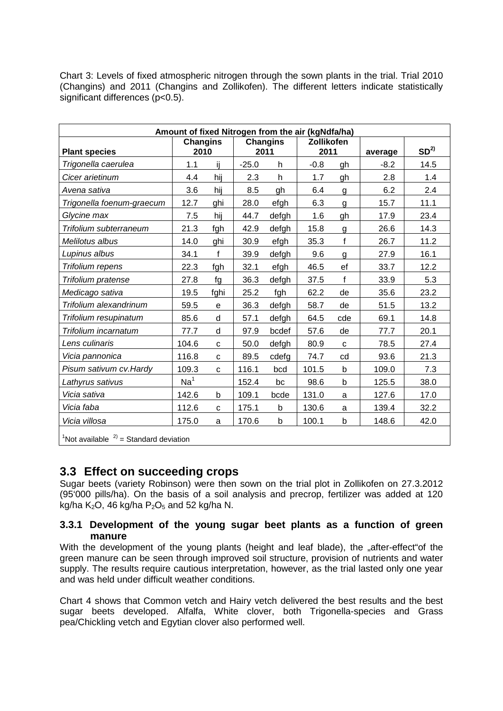| Chart 3: Levels of fixed atmospheric nitrogen through the sown plants in the trial. Trial 2010 |  |  |  |  |  |
|------------------------------------------------------------------------------------------------|--|--|--|--|--|
| (Changins) and 2011 (Changins and Zollikofen). The different letters indicate statistically    |  |  |  |  |  |
| significant differences (p<0.5).                                                               |  |  |  |  |  |

| Amount of fixed Nitrogen from the air (kgNdfa/ha)                 |                         |              |         |                         |                           |                |         |                 |
|-------------------------------------------------------------------|-------------------------|--------------|---------|-------------------------|---------------------------|----------------|---------|-----------------|
| <b>Plant species</b>                                              | <b>Changins</b><br>2010 |              |         | <b>Changins</b><br>2011 | <b>Zollikofen</b><br>2011 |                | average | SD <sup>2</sup> |
| Trigonella caerulea                                               | 1.1                     | ij           | $-25.0$ | h                       | $-0.8$                    | gh             | $-8.2$  | 14.5            |
| Cicer arietinum                                                   | 4.4                     | hij          | 2.3     | h                       | 1.7                       | gh             | 2.8     | 1.4             |
| Avena sativa                                                      | 3.6                     | hij          | 8.5     | gh                      | 6.4                       | $\overline{g}$ | 6.2     | 2.4             |
| Trigonella foenum-graecum                                         | 12.7                    | ghi          | 28.0    | efgh                    | 6.3                       | g              | 15.7    | 11.1            |
| Glycine max                                                       | 7.5                     | hij          | 44.7    | defgh                   | 1.6                       | gh             | 17.9    | 23.4            |
| Trifolium subterraneum                                            | 21.3                    | fgh          | 42.9    | defgh                   | 15.8                      | g              | 26.6    | 14.3            |
| Melilotus albus                                                   | 14.0                    | ghi          | 30.9    | efgh                    | 35.3                      | $\mathsf{f}$   | 26.7    | 11.2            |
| Lupinus albus                                                     | 34.1                    | $\mathsf{f}$ | 39.9    | defgh                   | 9.6                       | g              | 27.9    | 16.1            |
| Trifolium repens                                                  | 22.3                    | fgh          | 32.1    | efgh                    | 46.5                      | ef             | 33.7    | 12.2            |
| Trifolium pratense                                                | 27.8                    | fg           | 36.3    | defgh                   | 37.5                      | f              | 33.9    | 5.3             |
| Medicago sativa                                                   | 19.5                    | fghi         | 25.2    | fgh                     | 62.2                      | de             | 35.6    | 23.2            |
| Trifolium alexandrinum                                            | 59.5                    | $\mathsf e$  | 36.3    | defgh                   | 58.7                      | de             | 51.5    | 13.2            |
| Trifolium resupinatum                                             | 85.6                    | d            | 57.1    | defgh                   | 64.5                      | cde            | 69.1    | 14.8            |
| Trifolium incarnatum                                              | 77.7                    | d            | 97.9    | bcdef                   | 57.6                      | de             | 77.7    | 20.1            |
| Lens culinaris                                                    | 104.6                   | C            | 50.0    | defgh                   | 80.9                      | $\mathbf{C}$   | 78.5    | 27.4            |
| Vicia pannonica                                                   | 116.8                   | C            | 89.5    | cdefg                   | 74.7                      | cd             | 93.6    | 21.3            |
| Pisum sativum cv. Hardy                                           | 109.3                   | $\mathbf C$  | 116.1   | bcd                     | 101.5                     | b              | 109.0   | 7.3             |
| Lathyrus sativus                                                  | Na <sup>1</sup>         |              | 152.4   | bc                      | 98.6                      | b              | 125.5   | 38.0            |
| Vicia sativa                                                      | 142.6                   | b            | 109.1   | bcde                    | 131.0                     | a              | 127.6   | 17.0            |
| Vicia faba                                                        | 112.6                   | C            | 175.1   | b                       | 130.6                     | a              | 139.4   | 32.2            |
| Vicia villosa                                                     | 175.0                   | a            | 170.6   | b                       | 100.1                     | b              | 148.6   | 42.0            |
| <sup>1</sup> Not available $2$ <sup>2)</sup> = Standard deviation |                         |              |         |                         |                           |                |         |                 |

### **3.3 Effect on succeeding crops**

Sugar beets (variety Robinson) were then sown on the trial plot in Zollikofen on 27.3.2012 (95'000 pills/ha). On the basis of a soil analysis and precrop, fertilizer was added at 120 kg/ha K<sub>2</sub>O, 46 kg/ha P<sub>2</sub>O<sub>5</sub> and 52 kg/ha N.

#### **3.3.1 Development of the young sugar beet plants as a function of green manure**

With the development of the young plants (height and leaf blade), the "after-effect"of the green manure can be seen through improved soil structure, provision of nutrients and water supply. The results require cautious interpretation, however, as the trial lasted only one year and was held under difficult weather conditions.

Chart 4 shows that Common vetch and Hairy vetch delivered the best results and the best sugar beets developed. Alfalfa, White clover, both Trigonella-species and Grass pea/Chickling vetch and Egytian clover also performed well.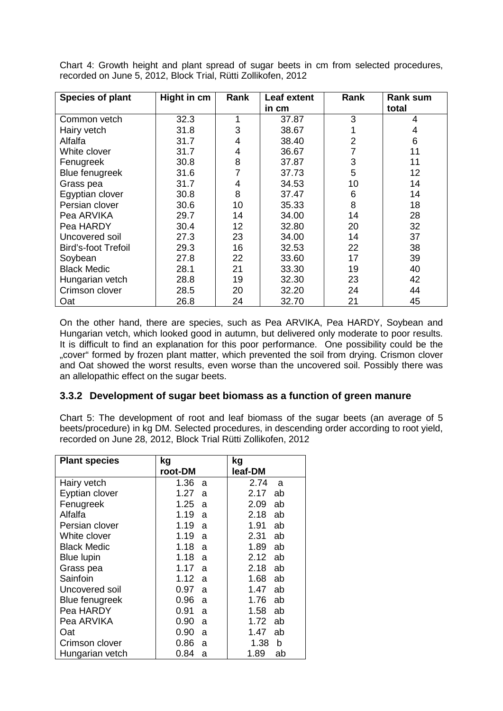| <b>Species of plant</b>    | Hight in cm | Rank           | Leaf extent | Rank           | <b>Rank sum</b> |
|----------------------------|-------------|----------------|-------------|----------------|-----------------|
|                            |             |                | in cm       |                | total           |
| Common vetch               | 32.3        | 1              | 37.87       | 3              | 4               |
| Hairy vetch                | 31.8        | 3              | 38.67       |                | 4               |
| Alfalfa                    | 31.7        | 4              | 38.40       | $\overline{2}$ | 6               |
| White clover               | 31.7        | 4              | 36.67       | 7              | 11              |
| Fenugreek                  | 30.8        | 8              | 37.87       | 3              | 11              |
| <b>Blue fenugreek</b>      | 31.6        | $\overline{7}$ | 37.73       | 5              | 12              |
| Grass pea                  | 31.7        | 4              | 34.53       | 10             | 14              |
| Egyptian clover            | 30.8        | 8              | 37.47       | 6              | 14              |
| Persian clover             | 30.6        | 10             | 35.33       | 8              | 18              |
| Pea ARVIKA                 | 29.7        | 14             | 34.00       | 14             | 28              |
| Pea HARDY                  | 30.4        | 12             | 32.80       | 20             | 32              |
| Uncovered soil             | 27.3        | 23             | 34.00       | 14             | 37              |
| <b>Bird's-foot Trefoil</b> | 29.3        | 16             | 32.53       | 22             | 38              |
| Soybean                    | 27.8        | 22             | 33.60       | 17             | 39              |
| <b>Black Medic</b>         | 28.1        | 21             | 33.30       | 19             | 40              |
| Hungarian vetch            | 28.8        | 19             | 32.30       | 23             | 42              |
| Crimson clover             | 28.5        | 20             | 32.20       | 24             | 44              |
| Oat                        | 26.8        | 24             | 32.70       | 21             | 45              |

Chart 4: Growth height and plant spread of sugar beets in cm from selected procedures, recorded on June 5, 2012, Block Trial, Rütti Zollikofen, 2012

On the other hand, there are species, such as Pea ARVIKA, Pea HARDY, Soybean and Hungarian vetch, which looked good in autumn, but delivered only moderate to poor results. It is difficult to find an explanation for this poor performance. One possibility could be the "cover" formed by frozen plant matter, which prevented the soil from drying. Crismon clover and Oat showed the worst results, even worse than the uncovered soil. Possibly there was an allelopathic effect on the sugar beets.

#### **3.3.2 Development of sugar beet biomass as a function of green manure**

Chart 5: The development of root and leaf biomass of the sugar beets (an average of 5 beets/procedure) in kg DM. Selected procedures, in descending order according to root yield, recorded on June 28, 2012, Block Trial Rütti Zollikofen, 2012

| <b>Plant species</b>  | kg<br>root-DM | kg<br>leaf-DM |
|-----------------------|---------------|---------------|
|                       |               |               |
| Hairy vetch           | 1.36<br>a     | 2.74<br>a     |
| Eyptian clover        | 1.27<br>a     | 2.17<br>ab    |
| Fenugreek             | 1.25<br>a     | 2.09<br>ab    |
| Alfalfa               | 1.19<br>a     | 2.18<br>ab    |
| Persian clover        | 1.19<br>a     | 1.91<br>ab    |
| White clover          | 1.19<br>a     | 2.31<br>ab    |
| <b>Black Medic</b>    | 1.18<br>a     | 1.89<br>ab    |
| <b>Blue lupin</b>     | 1.18<br>a     | 2.12<br>ab    |
| Grass pea             | 1.17<br>a     | 2.18<br>ab    |
| Sainfoin              | 1.12<br>a     | 1.68<br>ab    |
| Uncovered soil        | 0.97<br>a     | 1.47<br>ab    |
| <b>Blue fenugreek</b> | 0.96<br>a     | 1.76<br>ab    |
| Pea HARDY             | 0.91<br>a     | 1.58<br>ab    |
| Pea ARVIKA            | 0.90<br>a     | 1.72<br>ab    |
| Oat                   | 0.90<br>a     | 1.47<br>ab    |
| Crimson clover        | 0.86<br>a     | 1.38<br>b     |
| Hungarian vetch       | 0.84<br>a     | 1.89<br>ab    |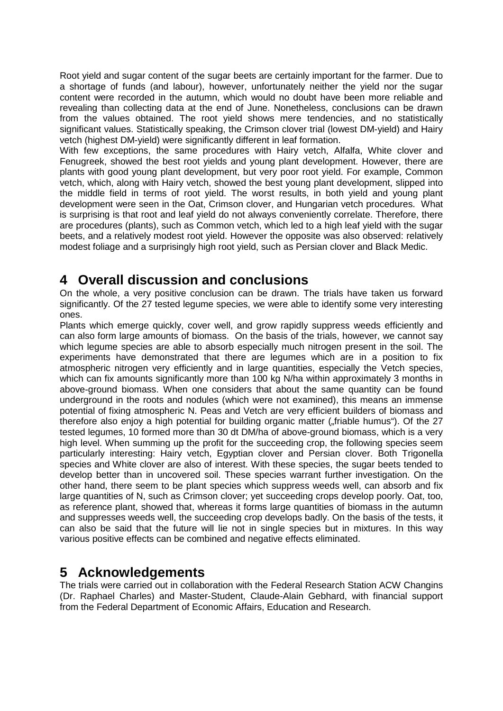Root yield and sugar content of the sugar beets are certainly important for the farmer. Due to a shortage of funds (and labour), however, unfortunately neither the yield nor the sugar content were recorded in the autumn, which would no doubt have been more reliable and revealing than collecting data at the end of June. Nonetheless, conclusions can be drawn from the values obtained. The root yield shows mere tendencies, and no statistically significant values. Statistically speaking, the Crimson clover trial (lowest DM-yield) and Hairy vetch (highest DM-yield) were significantly different in leaf formation.

With few exceptions, the same procedures with Hairy vetch, Alfalfa, White clover and Fenugreek, showed the best root yields and young plant development. However, there are plants with good young plant development, but very poor root yield. For example, Common vetch, which, along with Hairy vetch, showed the best young plant development, slipped into the middle field in terms of root yield. The worst results, in both yield and young plant development were seen in the Oat, Crimson clover, and Hungarian vetch procedures. What is surprising is that root and leaf yield do not always conveniently correlate. Therefore, there are procedures (plants), such as Common vetch, which led to a high leaf yield with the sugar beets, and a relatively modest root yield. However the opposite was also observed: relatively modest foliage and a surprisingly high root yield, such as Persian clover and Black Medic.

## **4 Overall discussion and conclusions**

On the whole, a very positive conclusion can be drawn. The trials have taken us forward significantly. Of the 27 tested legume species, we were able to identify some very interesting ones.

Plants which emerge quickly, cover well, and grow rapidly suppress weeds efficiently and can also form large amounts of biomass. On the basis of the trials, however, we cannot say which legume species are able to absorb especially much nitrogen present in the soil. The experiments have demonstrated that there are legumes which are in a position to fix atmospheric nitrogen very efficiently and in large quantities, especially the Vetch species, which can fix amounts significantly more than 100 kg N/ha within approximately 3 months in above-ground biomass. When one considers that about the same quantity can be found underground in the roots and nodules (which were not examined), this means an immense potential of fixing atmospheric N. Peas and Vetch are very efficient builders of biomass and therefore also enjoy a high potential for building organic matter ("friable humus"). Of the 27 tested legumes, 10 formed more than 30 dt DM/ha of above-ground biomass, which is a very high level. When summing up the profit for the succeeding crop, the following species seem particularly interesting: Hairy vetch, Egyptian clover and Persian clover. Both Trigonella species and White clover are also of interest. With these species, the sugar beets tended to develop better than in uncovered soil. These species warrant further investigation. On the other hand, there seem to be plant species which suppress weeds well, can absorb and fix large quantities of N, such as Crimson clover; yet succeeding crops develop poorly. Oat, too, as reference plant, showed that, whereas it forms large quantities of biomass in the autumn and suppresses weeds well, the succeeding crop develops badly. On the basis of the tests, it can also be said that the future will lie not in single species but in mixtures. In this way various positive effects can be combined and negative effects eliminated.

# **5 Acknowledgements**

The trials were carried out in collaboration with the Federal Research Station ACW Changins (Dr. Raphael Charles) and Master-Student, Claude-Alain Gebhard, with financial support from the Federal Department of Economic Affairs, Education and Research.